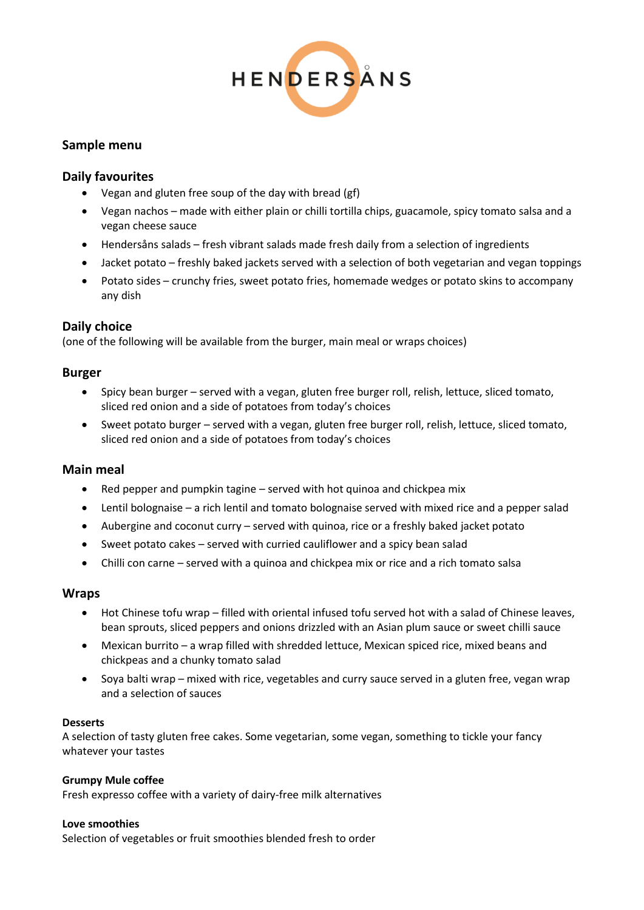

# **Sample menu**

## **Daily favourites**

- Vegan and gluten free soup of the day with bread (gf)
- Vegan nachos made with either plain or chilli tortilla chips, guacamole, spicy tomato salsa and a vegan cheese sauce
- Hendersåns salads fresh vibrant salads made fresh daily from a selection of ingredients
- Jacket potato freshly baked jackets served with a selection of both vegetarian and vegan toppings
- Potato sides crunchy fries, sweet potato fries, homemade wedges or potato skins to accompany any dish

# **Daily choice**

(one of the following will be available from the burger, main meal or wraps choices)

## **Burger**

- Spicy bean burger served with a vegan, gluten free burger roll, relish, lettuce, sliced tomato, sliced red onion and a side of potatoes from today's choices
- Sweet potato burger served with a vegan, gluten free burger roll, relish, lettuce, sliced tomato, sliced red onion and a side of potatoes from today's choices

## **Main meal**

- Red pepper and pumpkin tagine served with hot quinoa and chickpea mix
- Lentil bolognaise a rich lentil and tomato bolognaise served with mixed rice and a pepper salad
- Aubergine and coconut curry served with quinoa, rice or a freshly baked jacket potato
- Sweet potato cakes served with curried cauliflower and a spicy bean salad
- Chilli con carne served with a quinoa and chickpea mix or rice and a rich tomato salsa

## **Wraps**

- Hot Chinese tofu wrap filled with oriental infused tofu served hot with a salad of Chinese leaves, bean sprouts, sliced peppers and onions drizzled with an Asian plum sauce or sweet chilli sauce
- Mexican burrito a wrap filled with shredded lettuce, Mexican spiced rice, mixed beans and chickpeas and a chunky tomato salad
- Soya balti wrap mixed with rice, vegetables and curry sauce served in a gluten free, vegan wrap and a selection of sauces

#### **Desserts**

A selection of tasty gluten free cakes. Some vegetarian, some vegan, something to tickle your fancy whatever your tastes

#### **Grumpy Mule coffee**

Fresh expresso coffee with a variety of dairy-free milk alternatives

#### **Love smoothies**

Selection of vegetables or fruit smoothies blended fresh to order